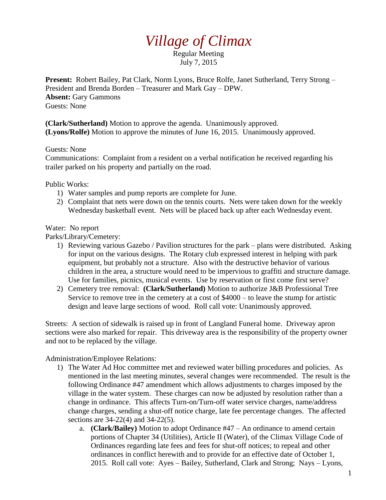## *Village of Climax*

Regular Meeting July 7, 2015

**Present:** Robert Bailey, Pat Clark, Norm Lyons, Bruce Rolfe, Janet Sutherland, Terry Strong – President and Brenda Borden – Treasurer and Mark Gay – DPW. **Absent:** Gary Gammons Guests: None

**(Clark/Sutherland)** Motion to approve the agenda. Unanimously approved. **(Lyons/Rolfe)** Motion to approve the minutes of June 16, 2015. Unanimously approved.

Guests: None

Communications: Complaint from a resident on a verbal notification he received regarding his trailer parked on his property and partially on the road.

Public Works:

- 1) Water samples and pump reports are complete for June.
- 2) Complaint that nets were down on the tennis courts. Nets were taken down for the weekly Wednesday basketball event. Nets will be placed back up after each Wednesday event.

## Water: No report

Parks/Library/Cemetery:

- 1) Reviewing various Gazebo / Pavilion structures for the park plans were distributed. Asking for input on the various designs. The Rotary club expressed interest in helping with park equipment, but probably not a structure. Also with the destructive behavior of various children in the area, a structure would need to be impervious to graffiti and structure damage. Use for families, picnics, musical events. Use by reservation or first come first serve?
- 2) Cemetery tree removal: **(Clark/Sutherland)** Motion to authorize J&B Professional Tree Service to remove tree in the cemetery at a cost of \$4000 – to leave the stump for artistic design and leave large sections of wood. Roll call vote: Unanimously approved.

Streets: A section of sidewalk is raised up in front of Langland Funeral home. Driveway apron sections were also marked for repair. This driveway area is the responsibility of the property owner and not to be replaced by the village.

Administration/Employee Relations:

- 1) The Water Ad Hoc committee met and reviewed water billing procedures and policies. As mentioned in the last meeting minutes, several changes were recommended. The result is the following Ordinance #47 amendment which allows adjustments to charges imposed by the village in the water system. These charges can now be adjusted by resolution rather than a change in ordinance. This affects Turn-on/Turn-off water service charges, name/address change charges, sending a shut-off notice charge, late fee percentage changes. The affected sections are 34-22(4) and 34-22(5).
	- a. **(Clark/Bailey)** Motion to adopt Ordinance #47 An ordinance to amend certain portions of Chapter 34 (Utilities), Article II (Water), of the Climax Village Code of Ordinances regarding late fees and fees for shut-off notices; to repeal and other ordinances in conflict herewith and to provide for an effective date of October 1, 2015. Roll call vote: Ayes – Bailey, Sutherland, Clark and Strong; Nays – Lyons,